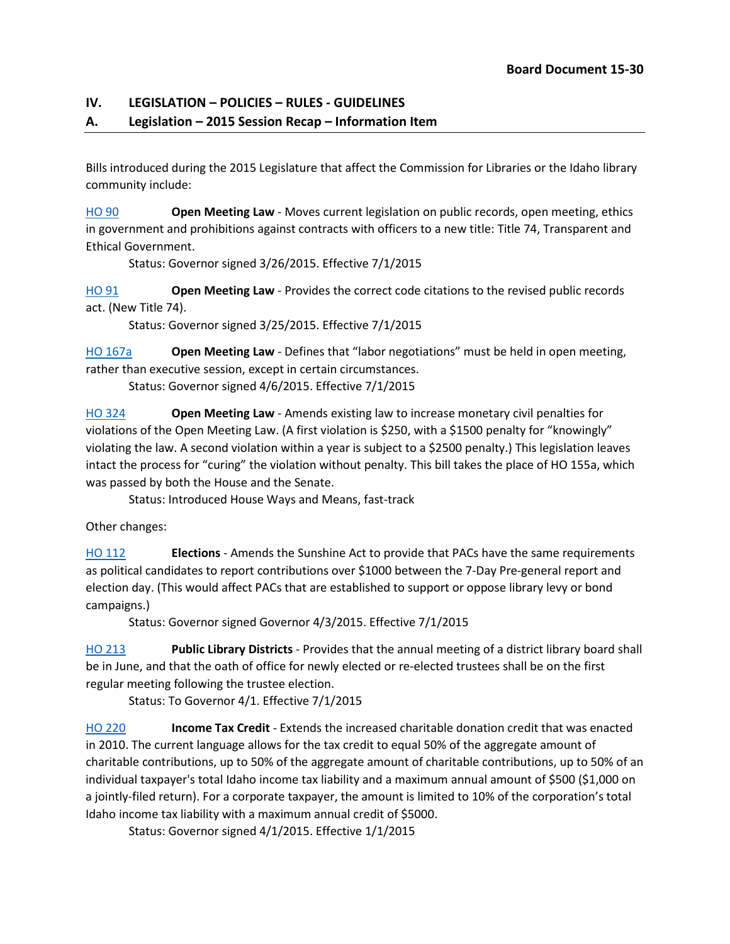## **IV. LEGISLATION – POLICIES – RULES - GUIDELINES**

## **A. Legislation – 2015 Session Recap – Information Item**

Bills introduced during the 2015 Legislature that affect the Commission for Libraries or the Idaho library community include:

[HO 90](http://legislature.idaho.gov/legislation/2015/H0090.htm) **Open Meeting Law** - Moves current legislation on public records, open meeting, ethics in government and prohibitions against contracts with officers to a new title: Title 74, Transparent and Ethical Government.

Status: Governor signed 3/26/2015. Effective 7/1/2015

[HO 91](http://legislature.idaho.gov/legislation/2015/H0091.htm) **Open Meeting Law** - Provides the correct code citations to the revised public records act. (New Title 74).

Status: Governor signed 3/25/2015. Effective 7/1/2015

[HO 167a](http://www.legislature.idaho.gov/legislation/2015/H0167.htm) **Open Meeting Law** - Defines that "labor negotiations" must be held in open meeting, rather than executive session, except in certain circumstances.

Status: Governor signed 4/6/2015. Effective 7/1/2015

[HO 324](http://www.legislature.idaho.gov/legislation/2015/H0324.htm) **Open Meeting Law** - Amends existing law to increase monetary civil penalties for violations of the Open Meeting Law. (A first violation is \$250, with a \$1500 penalty for "knowingly" violating the law. A second violation within a year is subject to a \$2500 penalty.) This legislation leaves intact the process for "curing" the violation without penalty. This bill takes the place of HO 155a, which was passed by both the House and the Senate.

Status: Introduced House Ways and Means, fast-track

Other changes:

[HO 112](http://legislature.idaho.gov/legislation/2015/H0112.htm) **Elections** - Amends the Sunshine Act to provide that PACs have the same requirements as political candidates to report contributions over \$1000 between the 7-Day Pre-general report and election day. (This would affect PACs that are established to support or oppose library levy or bond campaigns.)

Status: Governor signed Governor 4/3/2015. Effective 7/1/2015

[HO 213](http://legislature.idaho.gov/legislation/2015/H0213.htm) **Public Library Districts** - Provides that the annual meeting of a district library board shall be in June, and that the oath of office for newly elected or re-elected trustees shall be on the first regular meeting following the trustee election.

Status: To Governor 4/1. Effective 7/1/2015

HO [220](http://legislature.idaho.gov/legislation/2015/H0220.htm) **Income Tax Credit** - Extends the increased charitable donation credit that was enacted in 2010. The current language allows for the tax credit to equal 50% of the aggregate amount of charitable contributions, up to 50% of the aggregate amount of charitable contributions, up to 50% of an individual taxpayer's total Idaho income tax liability and a maximum annual amount of \$500 (\$1,000 on a jointly-filed return). For a corporate taxpayer, the amount is limited to 10% of the corporation's total Idaho income tax liability with a maximum annual credit of \$5000.

Status: Governor signed 4/1/2015. Effective 1/1/2015